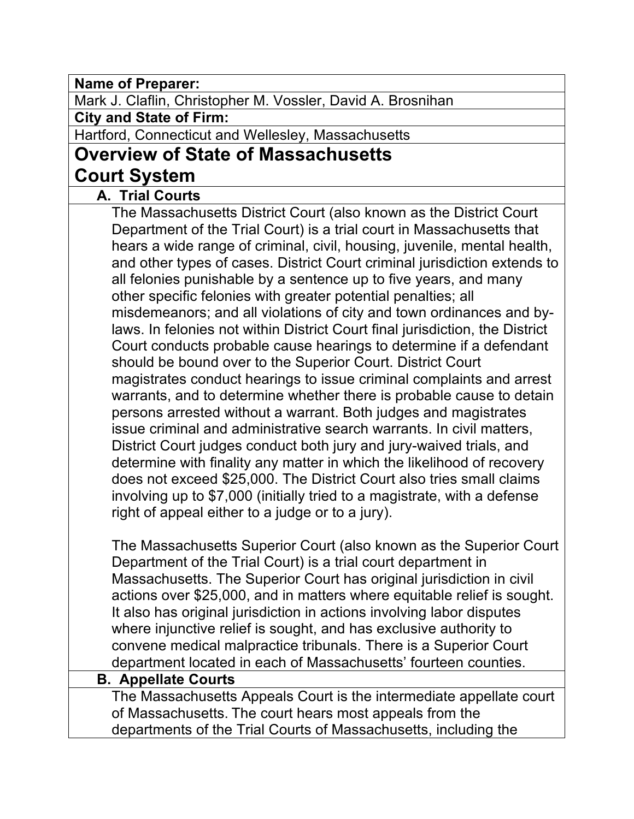**Name of Preparer:**

Mark J. Claflin, Christopher M. Vossler, David A. Brosnihan

**City and State of Firm:**

Hartford, Connecticut and Wellesley, Massachusetts

# **Overview of State of Massachusetts Court System**

## **A. Trial Courts**

The Massachusetts District Court (also known as the District Court Department of the Trial Court) is a trial court in Massachusetts that hears a wide range of criminal, civil, housing, juvenile, mental health, and other types of cases. District Court criminal jurisdiction extends to all felonies punishable by a sentence up to five years, and many other specific felonies with greater potential penalties; all misdemeanors; and all violations of city and town ordinances and bylaws. In felonies not within District Court final jurisdiction, the District Court conducts probable cause hearings to determine if a defendant should be bound over to the Superior Court. District Court magistrates conduct hearings to issue criminal complaints and arrest warrants, and to determine whether there is probable cause to detain persons arrested without a warrant. Both judges and magistrates issue criminal and administrative search warrants. In civil matters, District Court judges conduct both jury and jury-waived trials, and determine with finality any matter in which the likelihood of recovery does not exceed \$25,000. The District Court also tries small claims involving up to \$7,000 (initially tried to a magistrate, with a defense right of appeal either to a judge or to a jury).

The Massachusetts Superior Court (also known as the Superior Court Department of the Trial Court) is a trial court department in Massachusetts. The Superior Court has original jurisdiction in civil actions over \$25,000, and in matters where equitable relief is sought. It also has original jurisdiction in actions involving labor disputes where injunctive relief is sought, and has exclusive authority to convene medical malpractice tribunals. There is a Superior Court department located in each of Massachusetts' fourteen counties.

#### **B. Appellate Courts**

The Massachusetts Appeals Court is the intermediate appellate court of Massachusetts. The court hears most appeals from the departments of the Trial Courts of Massachusetts, including the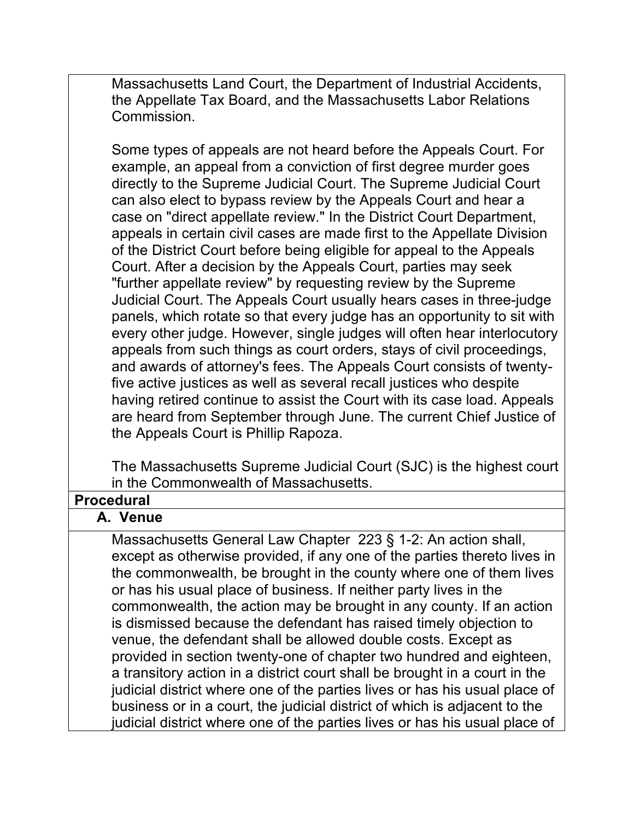Massachusetts Land Court, the Department of Industrial Accidents, the Appellate Tax Board, and the Massachusetts Labor Relations Commission.

Some types of appeals are not heard before the Appeals Court. For example, an appeal from a conviction of first degree murder goes directly to the Supreme Judicial Court. The Supreme Judicial Court can also elect to bypass review by the Appeals Court and hear a case on "direct appellate review." In the District Court Department, appeals in certain civil cases are made first to the Appellate Division of the District Court before being eligible for appeal to the Appeals Court. After a decision by the Appeals Court, parties may seek "further appellate review" by requesting review by the Supreme Judicial Court. The Appeals Court usually hears cases in three-judge panels, which rotate so that every judge has an opportunity to sit with every other judge. However, single judges will often hear interlocutory appeals from such things as court orders, stays of civil proceedings, and awards of attorney's fees. The Appeals Court consists of twentyfive active justices as well as several recall justices who despite having retired continue to assist the Court with its case load. Appeals are heard from September through June. The current Chief Justice of the Appeals Court is Phillip Rapoza.

The Massachusetts Supreme Judicial Court (SJC) is the highest court in the Commonwealth of Massachusetts.

## **Procedural**

#### **A. Venue**

Massachusetts General Law Chapter 223 § 1-2: An action shall, except as otherwise provided, if any one of the parties thereto lives in the commonwealth, be brought in the county where one of them lives or has his usual place of business. If neither party lives in the commonwealth, the action may be brought in any county. If an action is dismissed because the defendant has raised timely objection to venue, the defendant shall be allowed double costs. Except as provided in section twenty-one of chapter two hundred and eighteen, a transitory action in a district court shall be brought in a court in the judicial district where one of the parties lives or has his usual place of business or in a court, the judicial district of which is adjacent to the judicial district where one of the parties lives or has his usual place of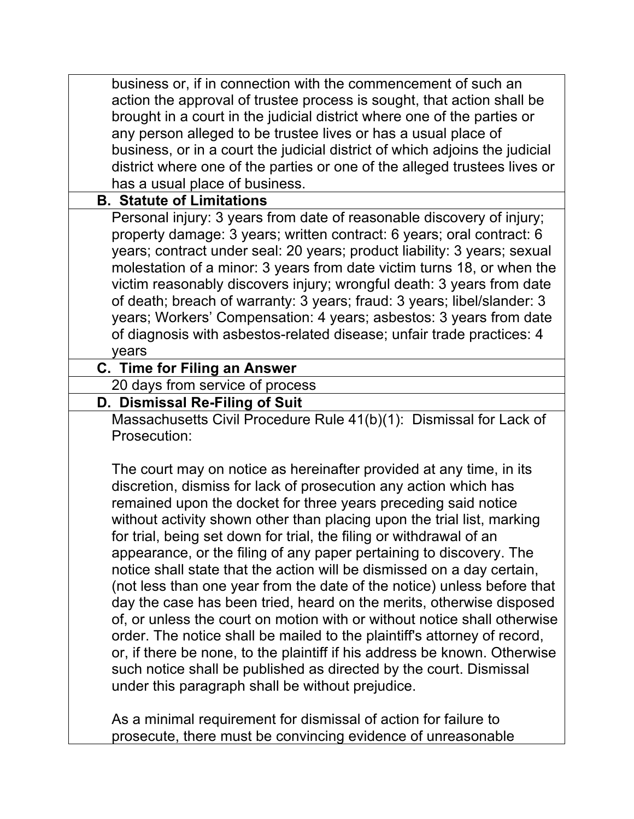| business or, if in connection with the commencement of such an              |
|-----------------------------------------------------------------------------|
| action the approval of trustee process is sought, that action shall be      |
| brought in a court in the judicial district where one of the parties or     |
| any person alleged to be trustee lives or has a usual place of              |
| business, or in a court the judicial district of which adjoins the judicial |
| district where one of the parties or one of the alleged trustees lives or   |
| has a usual place of business.                                              |
| <b>B. Statute of Limitations</b>                                            |
| Personal injury: 3 years from date of reasonable discovery of injury;       |
| property damage: 3 years; written contract: 6 years; oral contract: 6       |
| years; contract under seal: 20 years; product liability: 3 years; sexual    |
| molestation of a minor: 3 years from date victim turns 18, or when the      |
| victim reasonably discovers injury; wrongful death: 3 years from date       |
| of death; breach of warranty: 3 years; fraud: 3 years; libel/slander: 3     |
| years; Workers' Compensation: 4 years; asbestos: 3 years from date          |
| of diagnosis with asbestos-related disease; unfair trade practices: 4       |
| years                                                                       |
| C. Time for Filing an Answer                                                |
| 20 days from service of process                                             |
| D. Dismissal Re-Filing of Suit                                              |
| Massachusetts Civil Procedure Rule 41(b)(1): Dismissal for Lack of          |
| Prosecution:                                                                |
|                                                                             |
| The court may on notice as hereinafter provided at any time, in its         |
| discretion, dismiss for lack of prosecution any action which has            |
| remained upon the docket for three years preceding said notice              |
| without activity shown other than placing upon the trial list, marking      |
| for trial, being set down for trial, the filing or withdrawal of an         |
| appearance, or the filing of any paper pertaining to discovery. The         |
| notice shall state that the action will be dismissed on a day certain,      |
| (not less than one year from the date of the notice) unless before that     |
| day the case has been tried, heard on the merits, otherwise disposed        |
| of, or unless the court on motion with or without notice shall otherwise    |
| order. The notice shall be mailed to the plaintiff's attorney of record,    |
| or, if there be none, to the plaintiff if his address be known. Otherwise   |
| such notice shall be published as directed by the court. Dismissal          |
| under this paragraph shall be without prejudice.                            |
|                                                                             |
| As a minimal requirement for dismissal of action for failure to             |

prosecute, there must be convincing evidence of unreasonable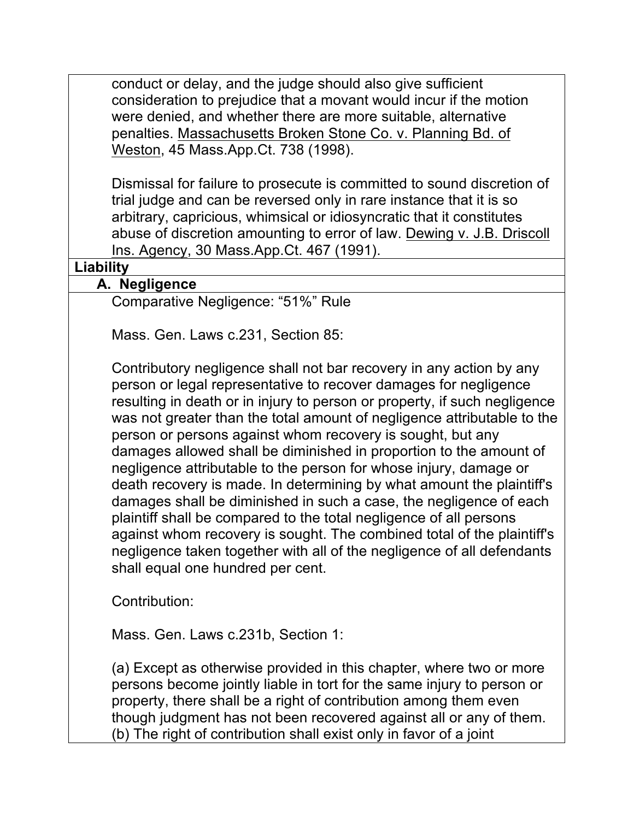conduct or delay, and the judge should also give sufficient consideration to prejudice that a movant would incur if the motion were denied, and whether there are more suitable, alternative penalties. Massachusetts Broken Stone Co. v. Planning Bd. of Weston, 45 Mass.App.Ct. 738 (1998).

Dismissal for failure to prosecute is committed to sound discretion of trial judge and can be reversed only in rare instance that it is so arbitrary, capricious, whimsical or idiosyncratic that it constitutes abuse of discretion amounting to error of law. Dewing v. J.B. Driscoll Ins. Agency, 30 Mass.App.Ct. 467 (1991).

#### **Liability**

#### **A. Negligence**

Comparative Negligence: "51%" Rule

Mass. Gen. Laws c.231, Section 85:

Contributory negligence shall not bar recovery in any action by any person or legal representative to recover damages for negligence resulting in death or in injury to person or property, if such negligence was not greater than the total amount of negligence attributable to the person or persons against whom recovery is sought, but any damages allowed shall be diminished in proportion to the amount of negligence attributable to the person for whose injury, damage or death recovery is made. In determining by what amount the plaintiff's damages shall be diminished in such a case, the negligence of each plaintiff shall be compared to the total negligence of all persons against whom recovery is sought. The combined total of the plaintiff's negligence taken together with all of the negligence of all defendants shall equal one hundred per cent.

Contribution:

Mass. Gen. Laws c.231b, Section 1:

(a) Except as otherwise provided in this chapter, where two or more persons become jointly liable in tort for the same injury to person or property, there shall be a right of contribution among them even though judgment has not been recovered against all or any of them. (b) The right of contribution shall exist only in favor of a joint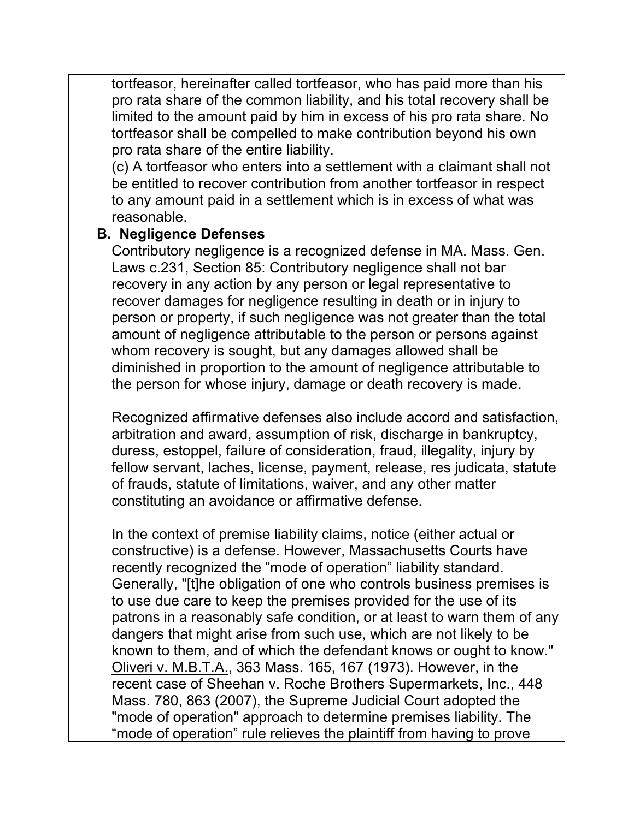tortfeasor, hereinafter called tortfeasor, who has paid more than his pro rata share of the common liability, and his total recovery shall be limited to the amount paid by him in excess of his pro rata share. No tortfeasor shall be compelled to make contribution beyond his own pro rata share of the entire liability.

(c) A tortfeasor who enters into a settlement with a claimant shall not be entitled to recover contribution from another tortfeasor in respect to any amount paid in a settlement which is in excess of what was reasonable.

#### **B. Negligence Defenses**

Contributory negligence is a recognized defense in MA. Mass. Gen. Laws c.231, Section 85: Contributory negligence shall not bar recovery in any action by any person or legal representative to recover damages for negligence resulting in death or in injury to person or property, if such negligence was not greater than the total amount of negligence attributable to the person or persons against whom recovery is sought, but any damages allowed shall be diminished in proportion to the amount of negligence attributable to the person for whose injury, damage or death recovery is made.

Recognized affirmative defenses also include accord and satisfaction, arbitration and award, assumption of risk, discharge in bankruptcy, duress, estoppel, failure of consideration, fraud, illegality, injury by fellow servant, laches, license, payment, release, res judicata, statute of frauds, statute of limitations, waiver, and any other matter constituting an avoidance or affirmative defense.

In the context of premise liability claims, notice (either actual or constructive) is a defense. However, Massachusetts Courts have recently recognized the "mode of operation" liability standard. Generally, "[t]he obligation of one who controls business premises is to use due care to keep the premises provided for the use of its patrons in a reasonably safe condition, or at least to warn them of any dangers that might arise from such use, which are not likely to be known to them, and of which the defendant knows or ought to know." Oliveri v. M.B.T.A., 363 Mass. 165, 167 (1973). However, in the recent case of Sheehan v. Roche Brothers Supermarkets, Inc., 448 Mass. 780, 863 (2007), the Supreme Judicial Court adopted the "mode of operation" approach to determine premises liability. The "mode of operation" rule relieves the plaintiff from having to prove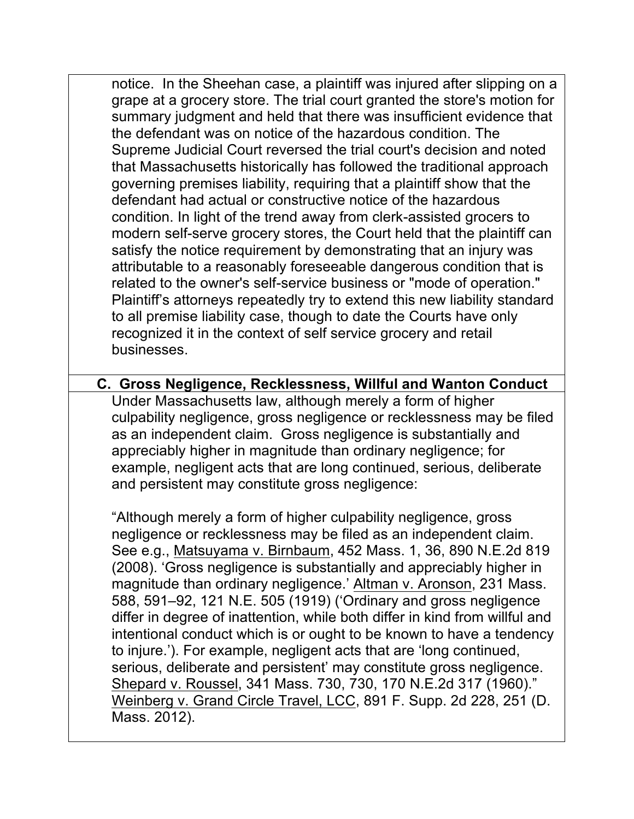notice. In the Sheehan case, a plaintiff was injured after slipping on a grape at a grocery store. The trial court granted the store's motion for summary judgment and held that there was insufficient evidence that the defendant was on notice of the hazardous condition. The Supreme Judicial Court reversed the trial court's decision and noted that Massachusetts historically has followed the traditional approach governing premises liability, requiring that a plaintiff show that the defendant had actual or constructive notice of the hazardous condition. In light of the trend away from clerk-assisted grocers to modern self-serve grocery stores, the Court held that the plaintiff can satisfy the notice requirement by demonstrating that an injury was attributable to a reasonably foreseeable dangerous condition that is related to the owner's self-service business or "mode of operation." Plaintiff's attorneys repeatedly try to extend this new liability standard to all premise liability case, though to date the Courts have only recognized it in the context of self service grocery and retail businesses.

**C. Gross Negligence, Recklessness, Willful and Wanton Conduct** Under Massachusetts law, although merely a form of higher culpability negligence, gross negligence or recklessness may be filed as an independent claim. Gross negligence is substantially and appreciably higher in magnitude than ordinary negligence; for example, negligent acts that are long continued, serious, deliberate and persistent may constitute gross negligence:

"Although merely a form of higher culpability negligence, gross negligence or recklessness may be filed as an independent claim. See e.g., Matsuyama v. Birnbaum, 452 Mass. 1, 36, 890 N.E.2d 819 (2008). 'Gross negligence is substantially and appreciably higher in magnitude than ordinary negligence.' Altman v. Aronson, 231 Mass. 588, 591–92, 121 N.E. 505 (1919) ('Ordinary and gross negligence differ in degree of inattention, while both differ in kind from willful and intentional conduct which is or ought to be known to have a tendency to injure.'). For example, negligent acts that are 'long continued, serious, deliberate and persistent' may constitute gross negligence. Shepard v. Roussel, 341 Mass. 730, 730, 170 N.E.2d 317 (1960)." Weinberg v. Grand Circle Travel, LCC, 891 F. Supp. 2d 228, 251 (D. Mass. 2012).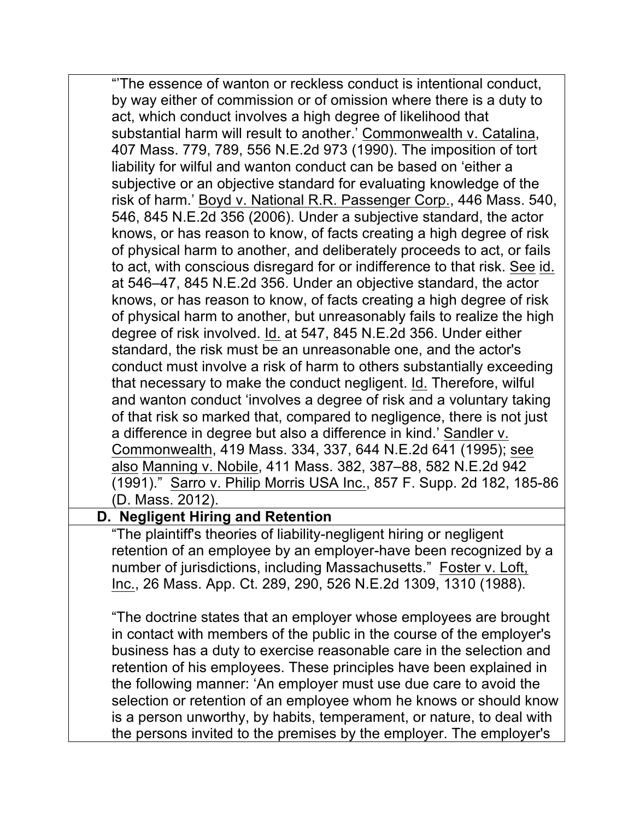"'The essence of wanton or reckless conduct is intentional conduct, by way either of commission or of omission where there is a duty to act, which conduct involves a high degree of likelihood that substantial harm will result to another.' Commonwealth v. Catalina, 407 Mass. 779, 789, 556 N.E.2d 973 (1990). The imposition of tort liability for wilful and wanton conduct can be based on 'either a subjective or an objective standard for evaluating knowledge of the risk of harm.' Boyd v. National R.R. Passenger Corp., 446 Mass. 540, 546, 845 N.E.2d 356 (2006). Under a subjective standard, the actor knows, or has reason to know, of facts creating a high degree of risk of physical harm to another, and deliberately proceeds to act, or fails to act, with conscious disregard for or indifference to that risk. See id. at 546–47, 845 N.E.2d 356. Under an objective standard, the actor knows, or has reason to know, of facts creating a high degree of risk of physical harm to another, but unreasonably fails to realize the high degree of risk involved. Id. at 547, 845 N.E.2d 356. Under either standard, the risk must be an unreasonable one, and the actor's conduct must involve a risk of harm to others substantially exceeding that necessary to make the conduct negligent. Id. Therefore, wilful and wanton conduct 'involves a degree of risk and a voluntary taking of that risk so marked that, compared to negligence, there is not just a difference in degree but also a difference in kind.' Sandler v. Commonwealth, 419 Mass. 334, 337, 644 N.E.2d 641 (1995); see also Manning v. Nobile, 411 Mass. 382, 387–88, 582 N.E.2d 942 (1991)." Sarro v. Philip Morris USA Inc., 857 F. Supp. 2d 182, 185-86 (D. Mass. 2012).

## **D. Negligent Hiring and Retention**

"The plaintiff's theories of liability-negligent hiring or negligent retention of an employee by an employer-have been recognized by a number of jurisdictions, including Massachusetts." Foster v. Loft, Inc., 26 Mass. App. Ct. 289, 290, 526 N.E.2d 1309, 1310 (1988).

"The doctrine states that an employer whose employees are brought in contact with members of the public in the course of the employer's business has a duty to exercise reasonable care in the selection and retention of his employees. These principles have been explained in the following manner: 'An employer must use due care to avoid the selection or retention of an employee whom he knows or should know is a person unworthy, by habits, temperament, or nature, to deal with the persons invited to the premises by the employer. The employer's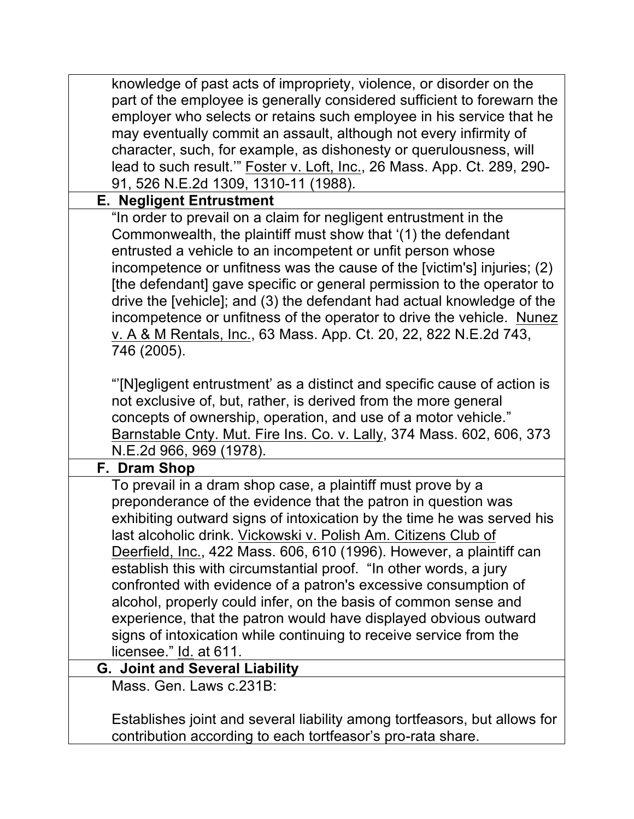| knowledge of past acts of impropriety, violence, or disorder on the<br>part of the employee is generally considered sufficient to forewarn the<br>employer who selects or retains such employee in his service that he<br>may eventually commit an assault, although not every infirmity of<br>character, such, for example, as dishonesty or querulousness, will<br>lead to such result." Foster v. Loft, Inc., 26 Mass. App. Ct. 289, 290-<br>91, 526 N.E.2d 1309, 1310-11 (1988).                                                                                                                                                                                                                                            |
|---------------------------------------------------------------------------------------------------------------------------------------------------------------------------------------------------------------------------------------------------------------------------------------------------------------------------------------------------------------------------------------------------------------------------------------------------------------------------------------------------------------------------------------------------------------------------------------------------------------------------------------------------------------------------------------------------------------------------------|
| <b>E. Negligent Entrustment</b>                                                                                                                                                                                                                                                                                                                                                                                                                                                                                                                                                                                                                                                                                                 |
| "In order to prevail on a claim for negligent entrustment in the<br>Commonwealth, the plaintiff must show that '(1) the defendant<br>entrusted a vehicle to an incompetent or unfit person whose<br>incompetence or unfitness was the cause of the [victim's] injuries; (2)<br>[the defendant] gave specific or general permission to the operator to<br>drive the [vehicle]; and (3) the defendant had actual knowledge of the<br>incompetence or unfitness of the operator to drive the vehicle. Nunez<br>v. A & M Rentals, Inc., 63 Mass. App. Ct. 20, 22, 822 N.E.2d 743,<br>746 (2005).                                                                                                                                    |
| "[N] egligent entrustment' as a distinct and specific cause of action is<br>not exclusive of, but, rather, is derived from the more general<br>concepts of ownership, operation, and use of a motor vehicle."<br>Barnstable Cnty. Mut. Fire Ins. Co. v. Lally, 374 Mass. 602, 606, 373<br>N.E.2d 966, 969 (1978).                                                                                                                                                                                                                                                                                                                                                                                                               |
| F. Dram Shop                                                                                                                                                                                                                                                                                                                                                                                                                                                                                                                                                                                                                                                                                                                    |
| To prevail in a dram shop case, a plaintiff must prove by a<br>preponderance of the evidence that the patron in question was<br>exhibiting outward signs of intoxication by the time he was served his<br>last alcoholic drink. Vickowski v. Polish Am. Citizens Club of<br>Deerfield, Inc., 422 Mass. 606, 610 (1996). However, a plaintiff can<br>establish this with circumstantial proof. "In other words, a jury<br>confronted with evidence of a patron's excessive consumption of<br>alcohol, properly could infer, on the basis of common sense and<br>experience, that the patron would have displayed obvious outward<br>signs of intoxication while continuing to receive service from the<br>licensee." Id. at 611. |
| <b>G. Joint and Several Liability</b>                                                                                                                                                                                                                                                                                                                                                                                                                                                                                                                                                                                                                                                                                           |
| Mass. Gen. Laws c.231B:                                                                                                                                                                                                                                                                                                                                                                                                                                                                                                                                                                                                                                                                                                         |
| Establishes joint and several liability among tortfeasors, but allows for<br>contribution according to each tortfeasor's pro-rata share.                                                                                                                                                                                                                                                                                                                                                                                                                                                                                                                                                                                        |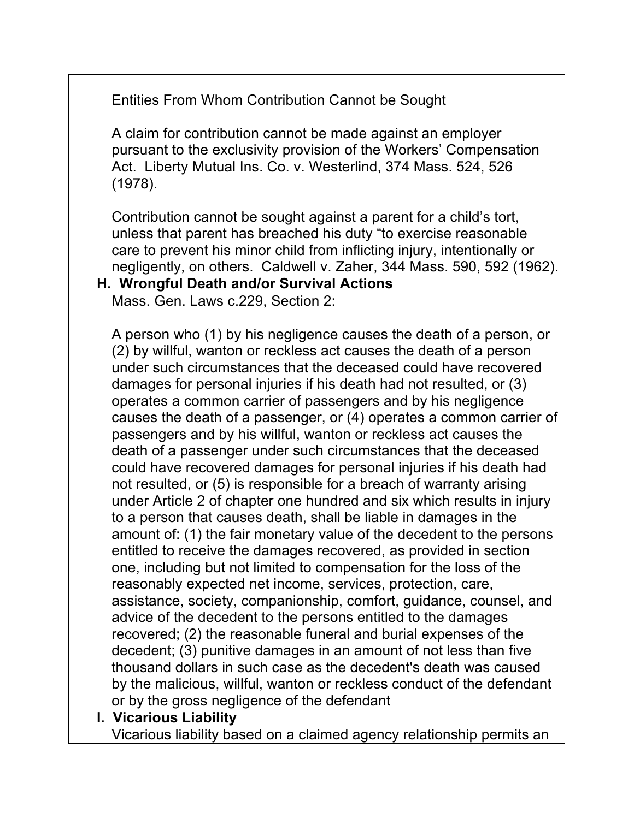Entities From Whom Contribution Cannot be Sought A claim for contribution cannot be made against an employer pursuant to the exclusivity provision of the Workers' Compensation Act. Liberty Mutual Ins. Co. v. Westerlind, 374 Mass. 524, 526 (1978). Contribution cannot be sought against a parent for a child's tort, unless that parent has breached his duty "to exercise reasonable care to prevent his minor child from inflicting injury, intentionally or negligently, on others. Caldwell v. Zaher, 344 Mass. 590, 592 (1962). **H. Wrongful Death and/or Survival Actions** Mass. Gen. Laws c.229, Section 2: A person who (1) by his negligence causes the death of a person, or (2) by willful, wanton or reckless act causes the death of a person under such circumstances that the deceased could have recovered damages for personal injuries if his death had not resulted, or (3) operates a common carrier of passengers and by his negligence causes the death of a passenger, or (4) operates a common carrier of passengers and by his willful, wanton or reckless act causes the death of a passenger under such circumstances that the deceased could have recovered damages for personal injuries if his death had not resulted, or (5) is responsible for a breach of warranty arising under Article 2 of chapter one hundred and six which results in injury to a person that causes death, shall be liable in damages in the amount of: (1) the fair monetary value of the decedent to the persons entitled to receive the damages recovered, as provided in section one, including but not limited to compensation for the loss of the reasonably expected net income, services, protection, care, assistance, society, companionship, comfort, guidance, counsel, and advice of the decedent to the persons entitled to the damages recovered; (2) the reasonable funeral and burial expenses of the decedent; (3) punitive damages in an amount of not less than five thousand dollars in such case as the decedent's death was caused by the malicious, willful, wanton or reckless conduct of the defendant or by the gross negligence of the defendant **I. Vicarious Liability** Vicarious liability based on a claimed agency relationship permits an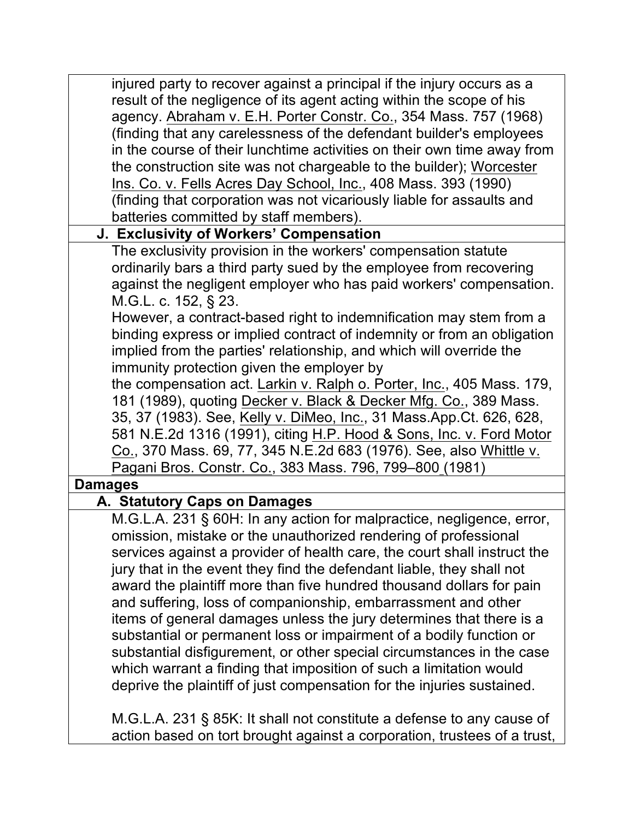injured party to recover against a principal if the injury occurs as a result of the negligence of its agent acting within the scope of his agency. Abraham v. E.H. Porter Constr. Co., 354 Mass. 757 (1968) (finding that any carelessness of the defendant builder's employees in the course of their lunchtime activities on their own time away from the construction site was not chargeable to the builder); Worcester Ins. Co. v. Fells Acres Day School, Inc., 408 Mass. 393 (1990) (finding that corporation was not vicariously liable for assaults and batteries committed by staff members).

## **J. Exclusivity of Workers' Compensation**

The exclusivity provision in the workers' compensation statute ordinarily bars a third party sued by the employee from recovering against the negligent employer who has paid workers' compensation. M.G.L. c. 152, § 23.

However, a contract-based right to indemnification may stem from a binding express or implied contract of indemnity or from an obligation implied from the parties' relationship, and which will override the immunity protection given the employer by

the compensation act. Larkin v. Ralph o. Porter, Inc., 405 Mass. 179, 181 (1989), quoting Decker v. Black & Decker Mfg. Co., 389 Mass. 35, 37 (1983). See, Kelly v. DiMeo, Inc., 31 Mass.App.Ct. 626, 628, 581 N.E.2d 1316 (1991), citing H.P. Hood & Sons, Inc. v. Ford Motor Co., 370 Mass. 69, 77, 345 N.E.2d 683 (1976). See, also Whittle v. Pagani Bros. Constr. Co., 383 Mass. 796, 799–800 (1981)

#### **Damages**

## **A. Statutory Caps on Damages**

M.G.L.A. 231 § 60H: In any action for malpractice, negligence, error, omission, mistake or the unauthorized rendering of professional services against a provider of health care, the court shall instruct the jury that in the event they find the defendant liable, they shall not award the plaintiff more than five hundred thousand dollars for pain and suffering, loss of companionship, embarrassment and other items of general damages unless the jury determines that there is a substantial or permanent loss or impairment of a bodily function or substantial disfigurement, or other special circumstances in the case which warrant a finding that imposition of such a limitation would deprive the plaintiff of just compensation for the injuries sustained.

M.G.L.A. 231 § 85K: It shall not constitute a defense to any cause of action based on tort brought against a corporation, trustees of a trust,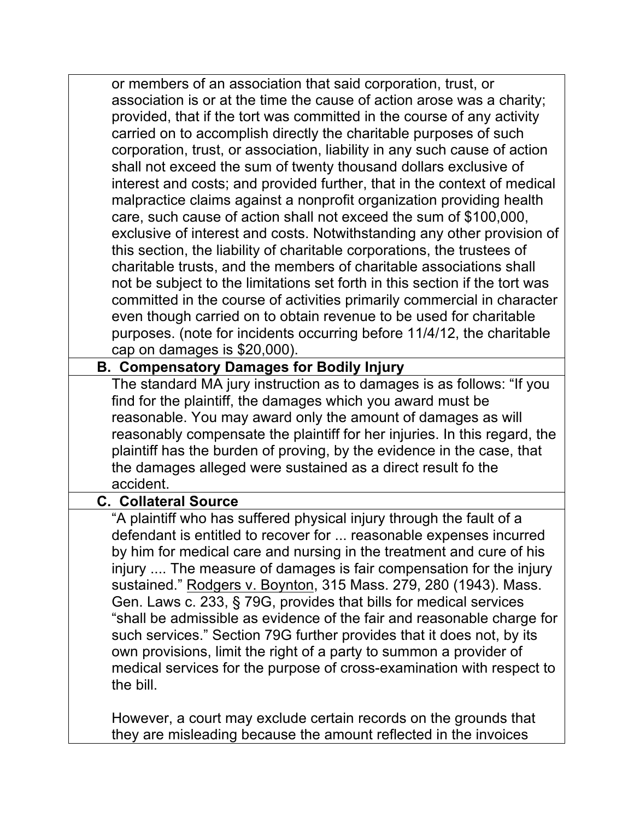or members of an association that said corporation, trust, or association is or at the time the cause of action arose was a charity; provided, that if the tort was committed in the course of any activity carried on to accomplish directly the charitable purposes of such corporation, trust, or association, liability in any such cause of action shall not exceed the sum of twenty thousand dollars exclusive of interest and costs; and provided further, that in the context of medical malpractice claims against a nonprofit organization providing health care, such cause of action shall not exceed the sum of \$100,000, exclusive of interest and costs. Notwithstanding any other provision of this section, the liability of charitable corporations, the trustees of charitable trusts, and the members of charitable associations shall not be subject to the limitations set forth in this section if the tort was committed in the course of activities primarily commercial in character even though carried on to obtain revenue to be used for charitable purposes. (note for incidents occurring before 11/4/12, the charitable cap on damages is \$20,000).

#### **B. Compensatory Damages for Bodily Injury**

The standard MA jury instruction as to damages is as follows: "If you find for the plaintiff, the damages which you award must be reasonable. You may award only the amount of damages as will reasonably compensate the plaintiff for her injuries. In this regard, the plaintiff has the burden of proving, by the evidence in the case, that the damages alleged were sustained as a direct result fo the accident.

#### **C. Collateral Source**

"A plaintiff who has suffered physical injury through the fault of a defendant is entitled to recover for ... reasonable expenses incurred by him for medical care and nursing in the treatment and cure of his injury .... The measure of damages is fair compensation for the injury sustained." Rodgers v. Boynton, 315 Mass. 279, 280 (1943). Mass. Gen. Laws c. 233, § 79G, provides that bills for medical services "shall be admissible as evidence of the fair and reasonable charge for such services." Section 79G further provides that it does not, by its own provisions, limit the right of a party to summon a provider of medical services for the purpose of cross-examination with respect to the bill.

However, a court may exclude certain records on the grounds that they are misleading because the amount reflected in the invoices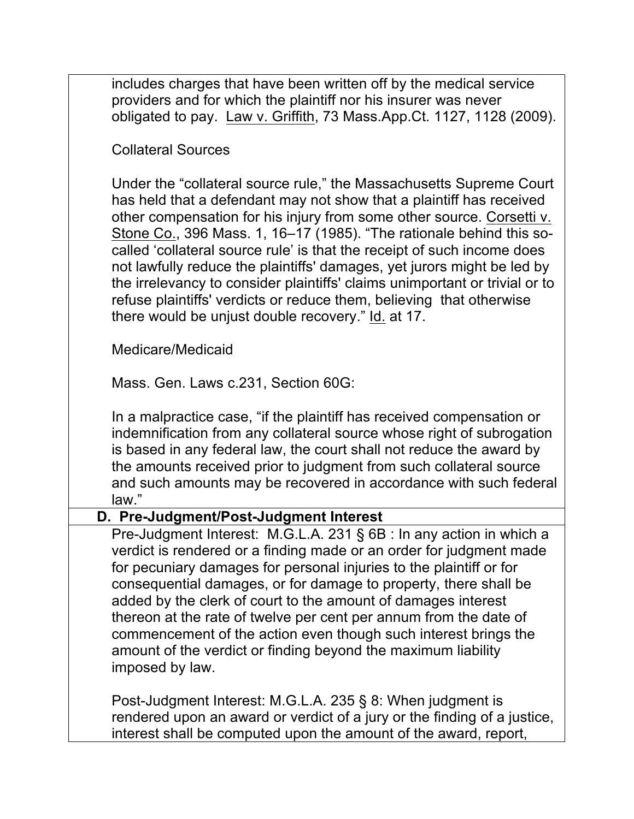includes charges that have been written off by the medical service providers and for which the plaintiff nor his insurer was never obligated to pay. Law v. Griffith, 73 Mass.App.Ct. 1127, 1128 (2009).

Collateral Sources

Under the "collateral source rule," the Massachusetts Supreme Court has held that a defendant may not show that a plaintiff has received other compensation for his injury from some other source. Corsetti v. Stone Co., 396 Mass. 1, 16–17 (1985). "The rationale behind this socalled 'collateral source rule' is that the receipt of such income does not lawfully reduce the plaintiffs' damages, yet jurors might be led by the irrelevancy to consider plaintiffs' claims unimportant or trivial or to refuse plaintiffs' verdicts or reduce them, believing that otherwise there would be unjust double recovery." Id. at 17.

Medicare/Medicaid

Mass. Gen. Laws c.231, Section 60G:

In a malpractice case, "if the plaintiff has received compensation or indemnification from any collateral source whose right of subrogation is based in any federal law, the court shall not reduce the award by the amounts received prior to judgment from such collateral source and such amounts may be recovered in accordance with such federal law."

#### **D. Pre-Judgment/Post-Judgment Interest**

Pre-Judgment Interest: M.G.L.A. 231 § 6B : In any action in which a verdict is rendered or a finding made or an order for judgment made for pecuniary damages for personal injuries to the plaintiff or for consequential damages, or for damage to property, there shall be added by the clerk of court to the amount of damages interest thereon at the rate of twelve per cent per annum from the date of commencement of the action even though such interest brings the amount of the verdict or finding beyond the maximum liability imposed by law.

Post-Judgment Interest: M.G.L.A. 235 § 8: When judgment is rendered upon an award or verdict of a jury or the finding of a justice, interest shall be computed upon the amount of the award, report,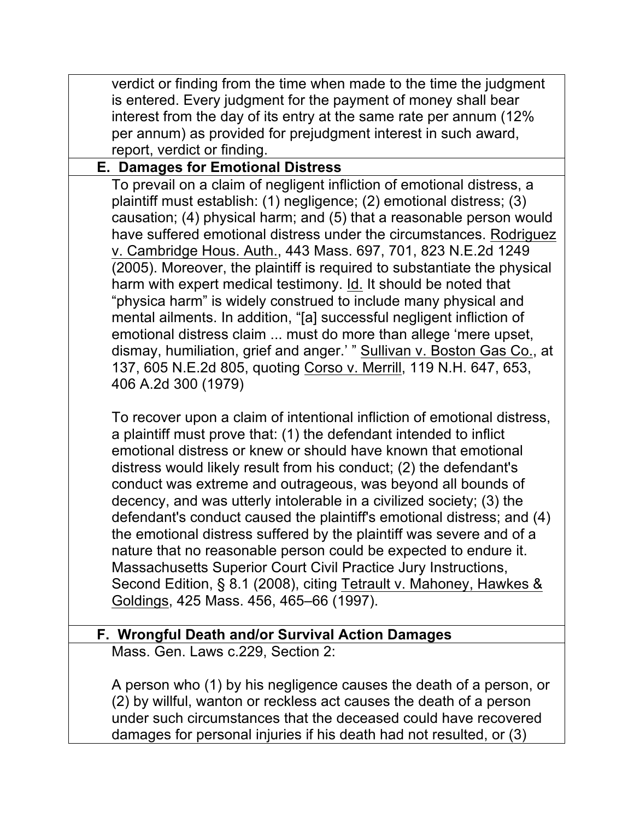| verdict or finding from the time when made to the time the judgment<br>is entered. Every judgment for the payment of money shall bear<br>interest from the day of its entry at the same rate per annum (12%                                                                                                                                                                                                                                                                                                                                                                                                                                                                                                                                                                                                                                                                                          |
|------------------------------------------------------------------------------------------------------------------------------------------------------------------------------------------------------------------------------------------------------------------------------------------------------------------------------------------------------------------------------------------------------------------------------------------------------------------------------------------------------------------------------------------------------------------------------------------------------------------------------------------------------------------------------------------------------------------------------------------------------------------------------------------------------------------------------------------------------------------------------------------------------|
| per annum) as provided for prejudgment interest in such award,<br>report, verdict or finding.                                                                                                                                                                                                                                                                                                                                                                                                                                                                                                                                                                                                                                                                                                                                                                                                        |
| <b>E. Damages for Emotional Distress</b>                                                                                                                                                                                                                                                                                                                                                                                                                                                                                                                                                                                                                                                                                                                                                                                                                                                             |
| To prevail on a claim of negligent infliction of emotional distress, a<br>plaintiff must establish: (1) negligence; (2) emotional distress; (3)<br>causation; (4) physical harm; and (5) that a reasonable person would<br>have suffered emotional distress under the circumstances. Rodriguez<br>v. Cambridge Hous. Auth., 443 Mass. 697, 701, 823 N.E.2d 1249<br>(2005). Moreover, the plaintiff is required to substantiate the physical<br>harm with expert medical testimony. Id. It should be noted that<br>"physica harm" is widely construed to include many physical and<br>mental ailments. In addition, "[a] successful negligent infliction of<br>emotional distress claim  must do more than allege 'mere upset,<br>dismay, humiliation, grief and anger.' " Sullivan v. Boston Gas Co., at<br>137, 605 N.E.2d 805, quoting Corso v. Merrill, 119 N.H. 647, 653,<br>406 A.2d 300 (1979) |
| To recover upon a claim of intentional infliction of emotional distress,<br>a plaintiff must prove that: (1) the defendant intended to inflict<br>emotional distress or knew or should have known that emotional<br>distress would likely result from his conduct; (2) the defendant's<br>conduct was extreme and outrageous, was beyond all bounds of<br>decency, and was utterly intolerable in a civilized society; (3) the<br>defendant's conduct caused the plaintiff's emotional distress; and (4)<br>the emotional distress suffered by the plaintiff was severe and of a<br>nature that no reasonable person could be expected to endure it.<br>Massachusetts Superior Court Civil Practice Jury Instructions,<br>Second Edition, § 8.1 (2008), citing Tetrault v. Mahoney, Hawkes &<br>Goldings, 425 Mass. 456, 465–66 (1997).                                                              |
| F. Wrongful Death and/or Survival Action Damages                                                                                                                                                                                                                                                                                                                                                                                                                                                                                                                                                                                                                                                                                                                                                                                                                                                     |
| Mass. Gen. Laws c.229, Section 2:                                                                                                                                                                                                                                                                                                                                                                                                                                                                                                                                                                                                                                                                                                                                                                                                                                                                    |
| A person who (1) by his negligence causes the death of a person, or<br>(2) by willful, wanton or reckless act causes the death of a person<br>under such circumstances that the deceased could have recovered<br>damages for personal injuries if his death had not resulted, or (3)                                                                                                                                                                                                                                                                                                                                                                                                                                                                                                                                                                                                                 |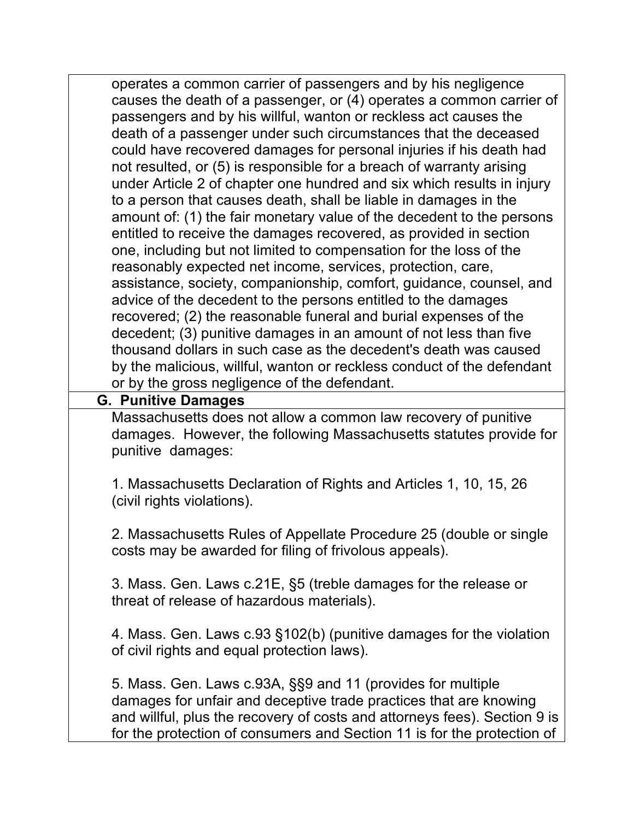operates a common carrier of passengers and by his negligence causes the death of a passenger, or (4) operates a common carrier of passengers and by his willful, wanton or reckless act causes the death of a passenger under such circumstances that the deceased could have recovered damages for personal injuries if his death had not resulted, or (5) is responsible for a breach of warranty arising under Article 2 of chapter one hundred and six which results in injury to a person that causes death, shall be liable in damages in the amount of: (1) the fair monetary value of the decedent to the persons entitled to receive the damages recovered, as provided in section one, including but not limited to compensation for the loss of the reasonably expected net income, services, protection, care, assistance, society, companionship, comfort, guidance, counsel, and advice of the decedent to the persons entitled to the damages recovered; (2) the reasonable funeral and burial expenses of the decedent; (3) punitive damages in an amount of not less than five thousand dollars in such case as the decedent's death was caused by the malicious, willful, wanton or reckless conduct of the defendant or by the gross negligence of the defendant.

#### **G. Punitive Damages**

Massachusetts does not allow a common law recovery of punitive damages. However, the following Massachusetts statutes provide for punitive damages:

1. Massachusetts Declaration of Rights and Articles 1, 10, 15, 26 (civil rights violations).

2. Massachusetts Rules of Appellate Procedure 25 (double or single costs may be awarded for filing of frivolous appeals).

3. Mass. Gen. Laws c.21E, §5 (treble damages for the release or threat of release of hazardous materials).

4. Mass. Gen. Laws c.93 §102(b) (punitive damages for the violation of civil rights and equal protection laws).

5. Mass. Gen. Laws c.93A, §§9 and 11 (provides for multiple damages for unfair and deceptive trade practices that are knowing and willful, plus the recovery of costs and attorneys fees). Section 9 is for the protection of consumers and Section 11 is for the protection of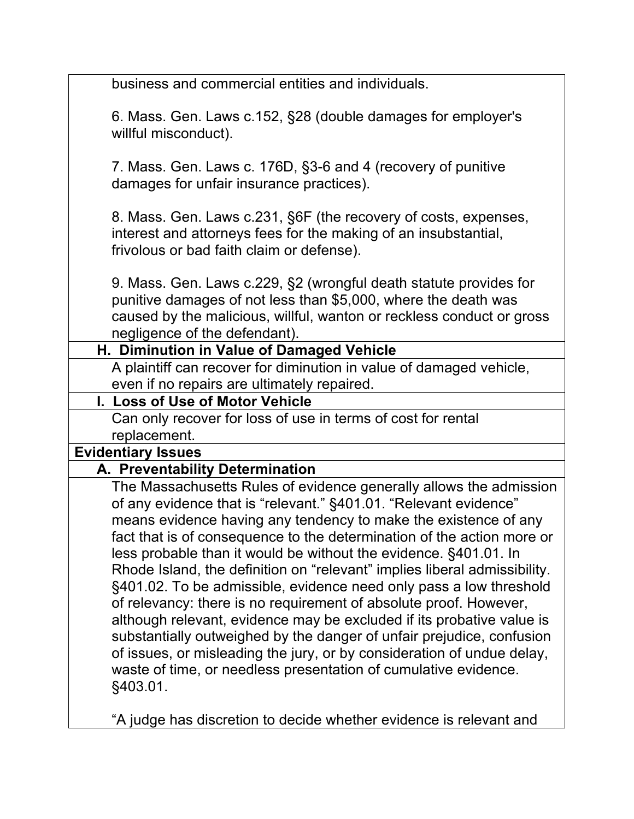| business and commercial entities and individuals.                                                                                                                                                                                                                                                                                                                                                                                                                                                                                                                                                                                                        |
|----------------------------------------------------------------------------------------------------------------------------------------------------------------------------------------------------------------------------------------------------------------------------------------------------------------------------------------------------------------------------------------------------------------------------------------------------------------------------------------------------------------------------------------------------------------------------------------------------------------------------------------------------------|
| 6. Mass. Gen. Laws c.152, §28 (double damages for employer's<br>willful misconduct).                                                                                                                                                                                                                                                                                                                                                                                                                                                                                                                                                                     |
| 7. Mass. Gen. Laws c. 176D, §3-6 and 4 (recovery of punitive<br>damages for unfair insurance practices).                                                                                                                                                                                                                                                                                                                                                                                                                                                                                                                                                 |
| 8. Mass. Gen. Laws c.231, §6F (the recovery of costs, expenses,<br>interest and attorneys fees for the making of an insubstantial,<br>frivolous or bad faith claim or defense).                                                                                                                                                                                                                                                                                                                                                                                                                                                                          |
| 9. Mass. Gen. Laws c.229, §2 (wrongful death statute provides for<br>punitive damages of not less than \$5,000, where the death was<br>caused by the malicious, willful, wanton or reckless conduct or gross<br>negligence of the defendant).                                                                                                                                                                                                                                                                                                                                                                                                            |
| H. Diminution in Value of Damaged Vehicle                                                                                                                                                                                                                                                                                                                                                                                                                                                                                                                                                                                                                |
| A plaintiff can recover for diminution in value of damaged vehicle,<br>even if no repairs are ultimately repaired.                                                                                                                                                                                                                                                                                                                                                                                                                                                                                                                                       |
| I. Loss of Use of Motor Vehicle                                                                                                                                                                                                                                                                                                                                                                                                                                                                                                                                                                                                                          |
| Can only recover for loss of use in terms of cost for rental                                                                                                                                                                                                                                                                                                                                                                                                                                                                                                                                                                                             |
| replacement.                                                                                                                                                                                                                                                                                                                                                                                                                                                                                                                                                                                                                                             |
| <b>Evidentiary Issues</b>                                                                                                                                                                                                                                                                                                                                                                                                                                                                                                                                                                                                                                |
| A. Preventability Determination                                                                                                                                                                                                                                                                                                                                                                                                                                                                                                                                                                                                                          |
| The Massachusetts Rules of evidence generally allows the admission<br>of any evidence that is "relevant." §401.01. "Relevant evidence"<br>means evidence having any tendency to make the existence of any<br>fact that is of consequence to the determination of the action more or<br>less probable than it would be without the evidence. §401.01. In<br>Rhode Island, the definition on "relevant" implies liberal admissibility.<br>§401.02. To be admissible, evidence need only pass a low threshold<br>of relevancy: there is no requirement of absolute proof. However,<br>although relevant, evidence may be excluded if its probative value is |
| substantially outweighed by the danger of unfair prejudice, confusion<br>of issues, or misleading the jury, or by consideration of undue delay,<br>waste of time, or needless presentation of cumulative evidence.<br>§403.01.                                                                                                                                                                                                                                                                                                                                                                                                                           |

"A judge has discretion to decide whether evidence is relevant and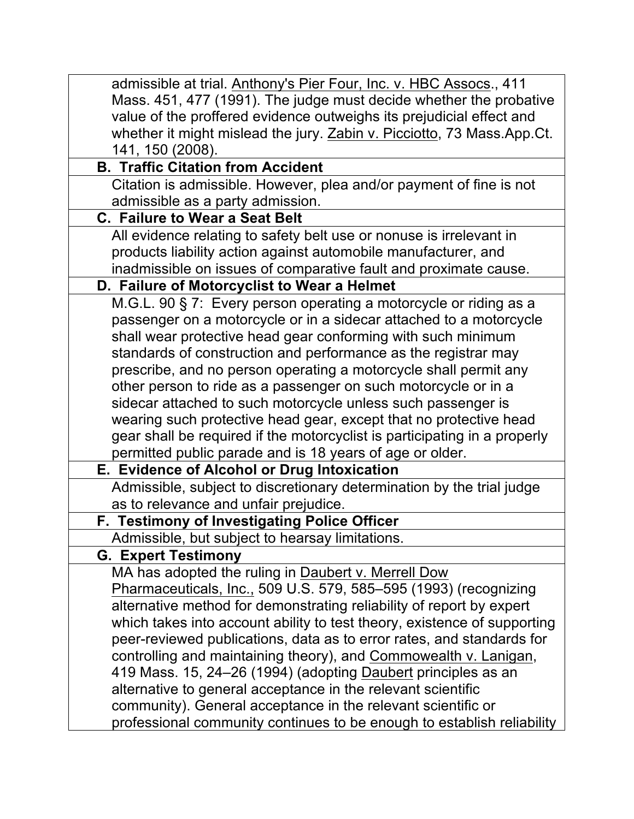| admissible at trial. Anthony's Pier Four, Inc. v. HBC Assocs., 411        |
|---------------------------------------------------------------------------|
| Mass. 451, 477 (1991). The judge must decide whether the probative        |
| value of the proffered evidence outweighs its prejudicial effect and      |
| whether it might mislead the jury. Zabin v. Picciotto, 73 Mass.App.Ct.    |
| 141, 150 (2008).                                                          |
| <b>B. Traffic Citation from Accident</b>                                  |
| Citation is admissible. However, plea and/or payment of fine is not       |
| admissible as a party admission.                                          |
| <b>C. Failure to Wear a Seat Belt</b>                                     |
| All evidence relating to safety belt use or nonuse is irrelevant in       |
| products liability action against automobile manufacturer, and            |
| inadmissible on issues of comparative fault and proximate cause.          |
| D. Failure of Motorcyclist to Wear a Helmet                               |
| M.G.L. 90 § 7: Every person operating a motorcycle or riding as a         |
| passenger on a motorcycle or in a sidecar attached to a motorcycle        |
| shall wear protective head gear conforming with such minimum              |
| standards of construction and performance as the registrar may            |
| prescribe, and no person operating a motorcycle shall permit any          |
| other person to ride as a passenger on such motorcycle or in a            |
| sidecar attached to such motorcycle unless such passenger is              |
| wearing such protective head gear, except that no protective head         |
| gear shall be required if the motorcyclist is participating in a properly |
| permitted public parade and is 18 years of age or older.                  |
| E. Evidence of Alcohol or Drug Intoxication                               |
| Admissible, subject to discretionary determination by the trial judge     |
| as to relevance and unfair prejudice.                                     |
| F. Testimony of Investigating Police Officer                              |
| Admissible, but subject to hearsay limitations.                           |
| <b>G. Expert Testimony</b>                                                |
| MA has adopted the ruling in Daubert v. Merrell Dow                       |
| Pharmaceuticals, Inc., 509 U.S. 579, 585–595 (1993) (recognizing          |
| alternative method for demonstrating reliability of report by expert      |
| which takes into account ability to test theory, existence of supporting  |
| peer-reviewed publications, data as to error rates, and standards for     |
| controlling and maintaining theory), and Commowealth v. Lanigan,          |
| 419 Mass. 15, 24–26 (1994) (adopting Daubert principles as an             |
| alternative to general acceptance in the relevant scientific              |
| community). General acceptance in the relevant scientific or              |
| professional community continues to be enough to establish reliability    |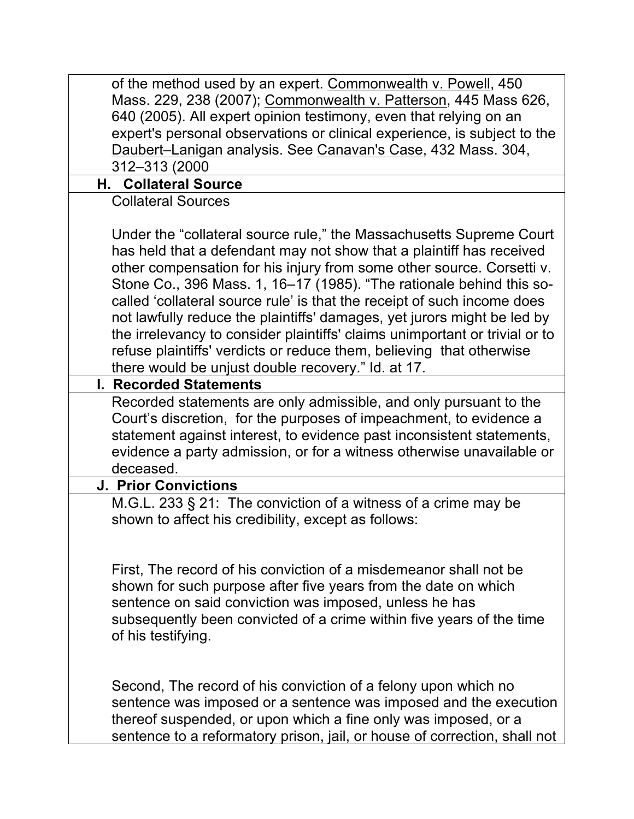| of the method used by an expert. Commonwealth v. Powell, 450<br>Mass. 229, 238 (2007); Commonwealth v. Patterson, 445 Mass 626,<br>640 (2005). All expert opinion testimony, even that relying on an<br>expert's personal observations or clinical experience, is subject to the<br>Daubert-Lanigan analysis. See Canavan's Case, 432 Mass. 304,<br>312-313 (2000                                                                                                                                                                                                                                                                                               |
|-----------------------------------------------------------------------------------------------------------------------------------------------------------------------------------------------------------------------------------------------------------------------------------------------------------------------------------------------------------------------------------------------------------------------------------------------------------------------------------------------------------------------------------------------------------------------------------------------------------------------------------------------------------------|
| <b>H. Collateral Source</b>                                                                                                                                                                                                                                                                                                                                                                                                                                                                                                                                                                                                                                     |
| <b>Collateral Sources</b>                                                                                                                                                                                                                                                                                                                                                                                                                                                                                                                                                                                                                                       |
| Under the "collateral source rule," the Massachusetts Supreme Court<br>has held that a defendant may not show that a plaintiff has received<br>other compensation for his injury from some other source. Corsetti v.<br>Stone Co., 396 Mass. 1, 16-17 (1985). "The rationale behind this so-<br>called 'collateral source rule' is that the receipt of such income does<br>not lawfully reduce the plaintiffs' damages, yet jurors might be led by<br>the irrelevancy to consider plaintiffs' claims unimportant or trivial or to<br>refuse plaintiffs' verdicts or reduce them, believing that otherwise<br>there would be unjust double recovery." Id. at 17. |
| <b>I. Recorded Statements</b>                                                                                                                                                                                                                                                                                                                                                                                                                                                                                                                                                                                                                                   |
| Recorded statements are only admissible, and only pursuant to the<br>Court's discretion, for the purposes of impeachment, to evidence a<br>statement against interest, to evidence past inconsistent statements,<br>evidence a party admission, or for a witness otherwise unavailable or<br>deceased.                                                                                                                                                                                                                                                                                                                                                          |
| <b>J. Prior Convictions</b>                                                                                                                                                                                                                                                                                                                                                                                                                                                                                                                                                                                                                                     |
| M.G.L. 233 § 21: The conviction of a witness of a crime may be<br>shown to affect his credibility, except as follows:                                                                                                                                                                                                                                                                                                                                                                                                                                                                                                                                           |
| First, The record of his conviction of a misdemeanor shall not be<br>shown for such purpose after five years from the date on which<br>sentence on said conviction was imposed, unless he has<br>subsequently been convicted of a crime within five years of the time<br>of his testifying.                                                                                                                                                                                                                                                                                                                                                                     |
| Second, The record of his conviction of a felony upon which no<br>sentence was imposed or a sentence was imposed and the execution<br>thereof suspended, or upon which a fine only was imposed, or a<br>sentence to a reformatory prison, jail, or house of correction, shall not                                                                                                                                                                                                                                                                                                                                                                               |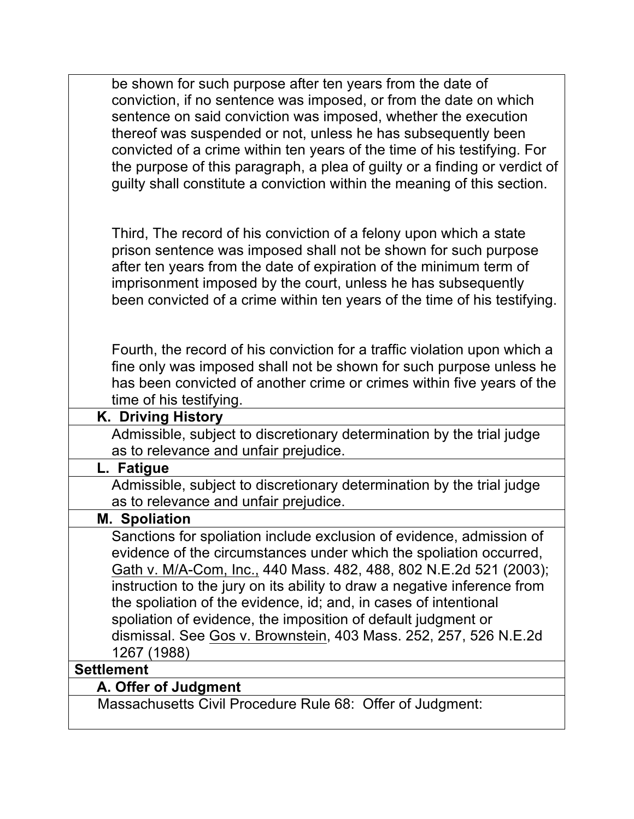| be shown for such purpose after ten years from the date of<br>conviction, if no sentence was imposed, or from the date on which       |
|---------------------------------------------------------------------------------------------------------------------------------------|
| sentence on said conviction was imposed, whether the execution                                                                        |
| thereof was suspended or not, unless he has subsequently been                                                                         |
| convicted of a crime within ten years of the time of his testifying. For                                                              |
| the purpose of this paragraph, a plea of guilty or a finding or verdict of                                                            |
| guilty shall constitute a conviction within the meaning of this section.                                                              |
|                                                                                                                                       |
|                                                                                                                                       |
| Third, The record of his conviction of a felony upon which a state                                                                    |
| prison sentence was imposed shall not be shown for such purpose<br>after ten years from the date of expiration of the minimum term of |
| imprisonment imposed by the court, unless he has subsequently                                                                         |
| been convicted of a crime within ten years of the time of his testifying.                                                             |
|                                                                                                                                       |
|                                                                                                                                       |
| Fourth, the record of his conviction for a traffic violation upon which a                                                             |
| fine only was imposed shall not be shown for such purpose unless he                                                                   |
| has been convicted of another crime or crimes within five years of the                                                                |
| time of his testifying.                                                                                                               |
| K. Driving History                                                                                                                    |
| Admissible, subject to discretionary determination by the trial judge<br>as to relevance and unfair prejudice.                        |
| L. Fatigue                                                                                                                            |
| Admissible, subject to discretionary determination by the trial judge                                                                 |
| as to relevance and unfair prejudice.                                                                                                 |
| <b>M. Spoliation</b>                                                                                                                  |
| Sanctions for spoliation include exclusion of evidence, admission of                                                                  |
| evidence of the circumstances under which the spoliation occurred,                                                                    |
| Gath v. M/A-Com, Inc., 440 Mass. 482, 488, 802 N.E.2d 521 (2003);                                                                     |
| instruction to the jury on its ability to draw a negative inference from                                                              |
| the spoliation of the evidence, id; and, in cases of intentional                                                                      |
| spoliation of evidence, the imposition of default judgment or                                                                         |
| dismissal. See Gos v. Brownstein, 403 Mass. 252, 257, 526 N.E.2d                                                                      |
| 1267 (1988)                                                                                                                           |
| <b>Settlement</b>                                                                                                                     |
| A. Offer of Judgment<br>Massachusetts Civil Procedure Rule 68: Offer of Judgment:                                                     |
|                                                                                                                                       |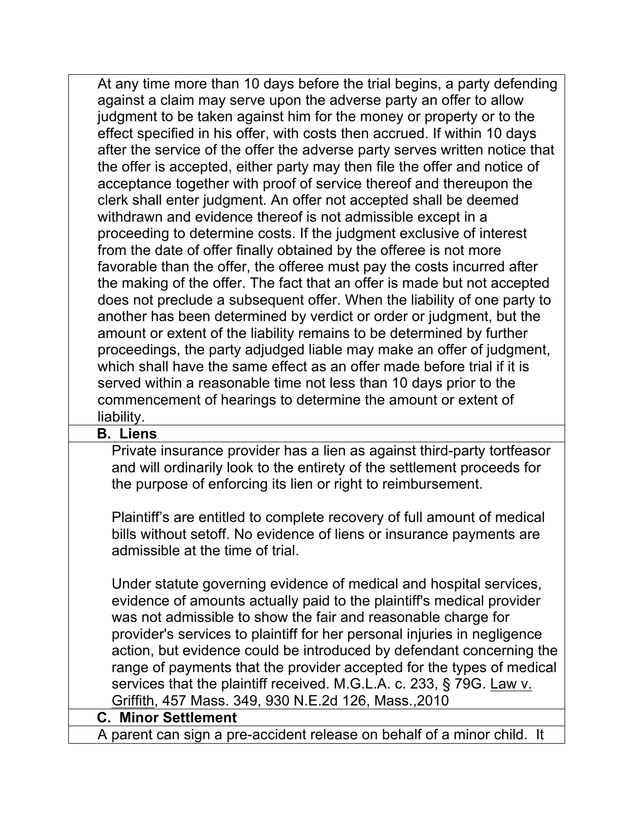| At any time more than 10 days before the trial begins, a party defending    |  |
|-----------------------------------------------------------------------------|--|
| against a claim may serve upon the adverse party an offer to allow          |  |
| judgment to be taken against him for the money or property or to the        |  |
| effect specified in his offer, with costs then accrued. If within 10 days   |  |
| after the service of the offer the adverse party serves written notice that |  |
| the offer is accepted, either party may then file the offer and notice of   |  |
| acceptance together with proof of service thereof and thereupon the         |  |
| clerk shall enter judgment. An offer not accepted shall be deemed           |  |
| withdrawn and evidence thereof is not admissible except in a                |  |
| proceeding to determine costs. If the judgment exclusive of interest        |  |
| from the date of offer finally obtained by the offeree is not more          |  |
| favorable than the offer, the offeree must pay the costs incurred after     |  |
| the making of the offer. The fact that an offer is made but not accepted    |  |
| does not preclude a subsequent offer. When the liability of one party to    |  |
| another has been determined by verdict or order or judgment, but the        |  |
| amount or extent of the liability remains to be determined by further       |  |
| proceedings, the party adjudged liable may make an offer of judgment,       |  |
| which shall have the same effect as an offer made before trial if it is     |  |
| served within a reasonable time not less than 10 days prior to the          |  |
| commencement of hearings to determine the amount or extent of               |  |
| liability.                                                                  |  |
| <b>B.</b> Liens                                                             |  |
| Private insurance provider has a lien as against third-party tortfeasor     |  |

Private insurance provider has a lien as against third-party tortfeasor and will ordinarily look to the entirety of the settlement proceeds for the purpose of enforcing its lien or right to reimbursement.

Plaintiff's are entitled to complete recovery of full amount of medical bills without setoff. No evidence of liens or insurance payments are admissible at the time of trial.

Under statute governing evidence of medical and hospital services, evidence of amounts actually paid to the plaintiff's medical provider was not admissible to show the fair and reasonable charge for provider's services to plaintiff for her personal injuries in negligence action, but evidence could be introduced by defendant concerning the range of payments that the provider accepted for the types of medical services that the plaintiff received. M.G.L.A. c. 233, § 79G. Law v. Griffith, 457 Mass. 349, 930 N.E.2d 126, Mass.,2010

#### **C. Minor Settlement**

A parent can sign a pre-accident release on behalf of a minor child. It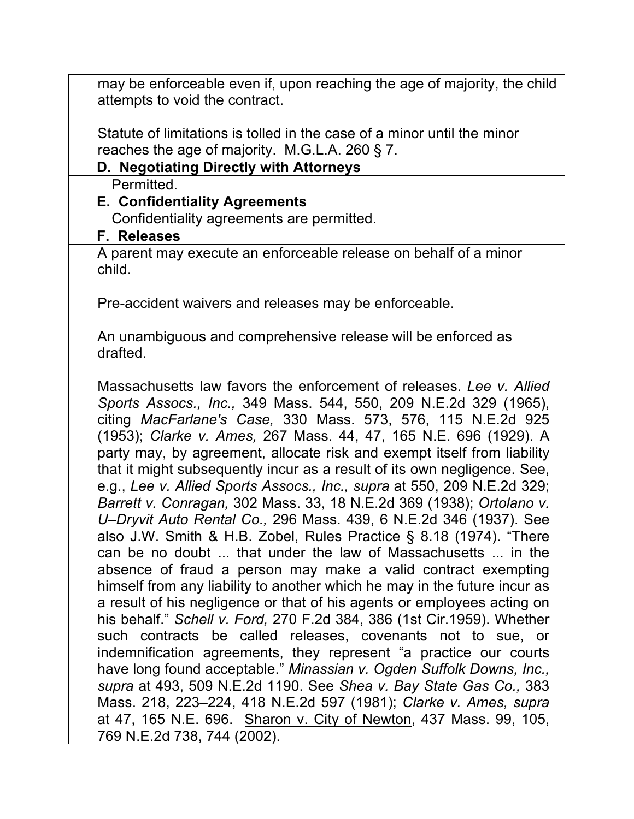may be enforceable even if, upon reaching the age of majority, the child attempts to void the contract.

Statute of limitations is tolled in the case of a minor until the minor reaches the age of majority. M.G.L.A. 260 § 7.

| D. Negotiating Directly with Attorneys |
|----------------------------------------|
|----------------------------------------|

Permitted.

## **E. Confidentiality Agreements**

Confidentiality agreements are permitted.

#### **F. Releases**

A parent may execute an enforceable release on behalf of a minor child.

Pre-accident waivers and releases may be enforceable.

An unambiguous and comprehensive release will be enforced as drafted.

Massachusetts law favors the enforcement of releases. *Lee v. Allied Sports Assocs., Inc.,* 349 Mass. 544, 550, 209 N.E.2d 329 (1965), citing *MacFarlane's Case,* 330 Mass. 573, 576, 115 N.E.2d 925 (1953); *Clarke v. Ames,* 267 Mass. 44, 47, 165 N.E. 696 (1929). A party may, by agreement, allocate risk and exempt itself from liability that it might subsequently incur as a result of its own negligence. See, e.g., *Lee v. Allied Sports Assocs., Inc., supra* at 550, 209 N.E.2d 329; *Barrett v. Conragan,* 302 Mass. 33, 18 N.E.2d 369 (1938); *Ortolano v. U–Dryvit Auto Rental Co.,* 296 Mass. 439, 6 N.E.2d 346 (1937). See also J.W. Smith & H.B. Zobel, Rules Practice § 8.18 (1974). "There can be no doubt ... that under the law of Massachusetts ... in the absence of fraud a person may make a valid contract exempting himself from any liability to another which he may in the future incur as a result of his negligence or that of his agents or employees acting on his behalf." *Schell v. Ford,* 270 F.2d 384, 386 (1st Cir.1959). Whether such contracts be called releases, covenants not to sue, or indemnification agreements, they represent "a practice our courts have long found acceptable." *Minassian v. Ogden Suffolk Downs, Inc., supra* at 493, 509 N.E.2d 1190. See *Shea v. Bay State Gas Co.,* 383 Mass. 218, 223–224, 418 N.E.2d 597 (1981); *Clarke v. Ames, supra* at 47, 165 N.E. 696. Sharon v. City of Newton, 437 Mass. 99, 105, 769 N.E.2d 738, 744 (2002).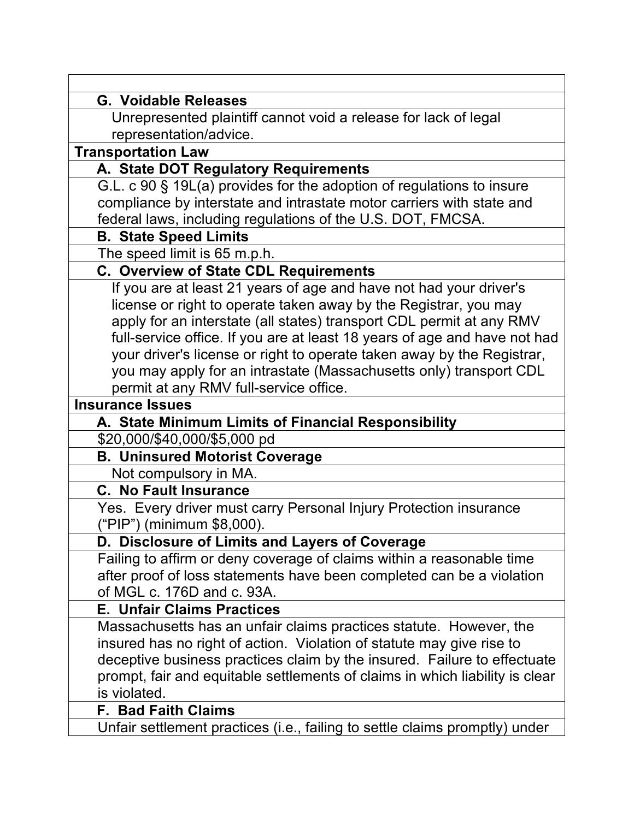| <b>G. Voidable Releases</b>                                                                     |
|-------------------------------------------------------------------------------------------------|
| Unrepresented plaintiff cannot void a release for lack of legal                                 |
| representation/advice.                                                                          |
| <b>Transportation Law</b>                                                                       |
| A. State DOT Regulatory Requirements                                                            |
| G.L. c 90 § 19L(a) provides for the adoption of regulations to insure                           |
| compliance by interstate and intrastate motor carriers with state and                           |
| federal laws, including regulations of the U.S. DOT, FMCSA.                                     |
| <b>B. State Speed Limits</b>                                                                    |
| The speed limit is 65 m.p.h.                                                                    |
| <b>C. Overview of State CDL Requirements</b>                                                    |
| If you are at least 21 years of age and have not had your driver's                              |
| license or right to operate taken away by the Registrar, you may                                |
| apply for an interstate (all states) transport CDL permit at any RMV                            |
| full-service office. If you are at least 18 years of age and have not had                       |
| your driver's license or right to operate taken away by the Registrar,                          |
| you may apply for an intrastate (Massachusetts only) transport CDL                              |
| permit at any RMV full-service office.                                                          |
| <b>Insurance Issues</b>                                                                         |
| A. State Minimum Limits of Financial Responsibility                                             |
| \$20,000/\$40,000/\$5,000 pd                                                                    |
| <b>B. Uninsured Motorist Coverage</b>                                                           |
| Not compulsory in MA.                                                                           |
| <b>C. No Fault Insurance</b>                                                                    |
| Yes. Every driver must carry Personal Injury Protection insurance<br>("PIP") (minimum \$8,000). |
| D. Disclosure of Limits and Layers of Coverage                                                  |
| Failing to affirm or deny coverage of claims within a reasonable time                           |
| after proof of loss statements have been completed can be a violation                           |
| of MGL c. 176D and c. 93A.                                                                      |
| <b>E. Unfair Claims Practices</b>                                                               |
| Massachusetts has an unfair claims practices statute. However, the                              |
| insured has no right of action. Violation of statute may give rise to                           |
| deceptive business practices claim by the insured. Failure to effectuate                        |
| prompt, fair and equitable settlements of claims in which liability is clear                    |
| is violated.                                                                                    |
| <b>F. Bad Faith Claims</b>                                                                      |
| Unfair settlement practices (i.e., failing to settle claims promptly) under                     |